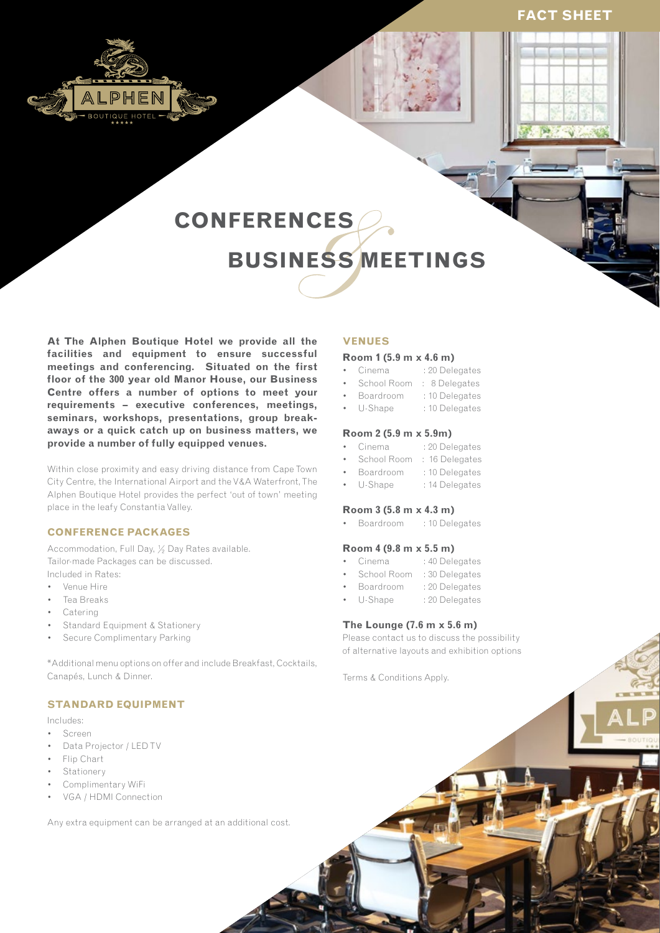# **FACT SHEET**







# **CONFERENCES BUSINESS MEETINGS**

**At The Alphen Boutique Hotel we provide all the facilities and equipment to ensure successful meetings and conferencing. Situated on the first floor of the 300 year old Manor House, our Business Centre offers a number of options to meet your requirements – executive conferences, meetings, seminars, workshops, presentations, group breakaways or a quick catch up on business matters, we provide a number of fully equipped venues.**

Within close proximity and easy driving distance from Cape Town City Centre, the International Airport and the V&A Waterfront, The Alphen Boutique Hotel provides the perfect 'out of town' meeting place in the leafy Constantia Valley.

#### **CONFERENCE PACKAGES**

Accommodation, Full Day, ½ Day Rates available. Tailor-made Packages can be discussed. Included in Rates:

- • Venue Hire
- Tea Breaks
- **Catering**
- Standard Equipment & Stationery
- Secure Complimentary Parking

\*Additional menu options on offer and include Breakfast, Cocktails, Canapés, Lunch & Dinner.

#### **STANDARD EQUIPMENT**

Includes:

- • Screen
- Data Projector / LED TV
- • Flip Chart
- **Stationery**
- Complimentary WiFi
- VGA / HDMI Connection

Any extra equipment can be arranged at an additional cost.

#### **VENUES**

#### **Room 1 (5.9 m x 4.6 m)**

- Cinema : 20 Delegates
- School Room : 8 Delegates
- Boardroom : 10 Delegates
- U-Shape : 10 Delegates

#### **Room 2 (5.9 m x 5.9m)**

- Cinema : 20 Delegates
- School Room : 16 Delegates
- Boardroom : 10 Delegates
- U-Shape : 14 Delegates

#### **Room 3 (5.8 m x 4.3 m)**

• Boardroom : 10 Delegates

### **Room 4 (9.8 m x 5.5 m)**

- Cinema : 40 Delegates
- School Room : 30 Delegates
- Boardroom : 20 Delegates
- U-Shape : 20 Delegates

#### **The Lounge (7.6 m x 5.6 m)**

Please contact us to discuss the possibility of alternative layouts and exhibition options

Terms & Conditions Apply.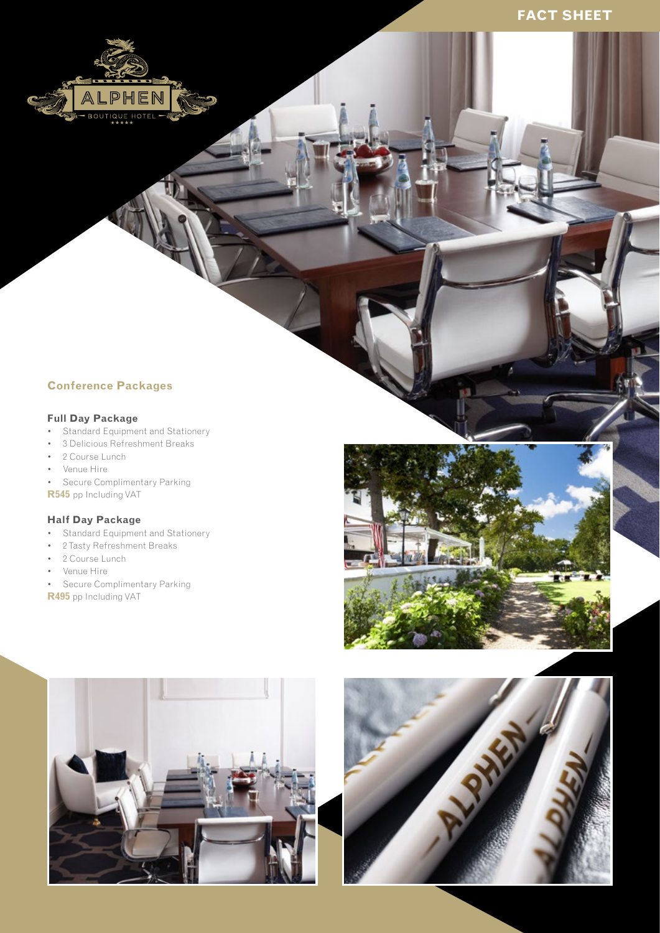# **Conference Packages**

PH

# **Full Day Package**

- Standard Equipment and Stationery
- • 3 Delicious Refreshment Breaks
- • 2 Course Lunch
- • Venue Hire
- Secure Complimentary Parking
- **R545** pp Including VAT

# **Half Day Package**

- Standard Equipment and Stationery
- • 2Tasty Refreshment Breaks
- 2 Course Lunch
- • Venue Hire
- • Secure Complimentary Parking
- **R495** pp Including VAT